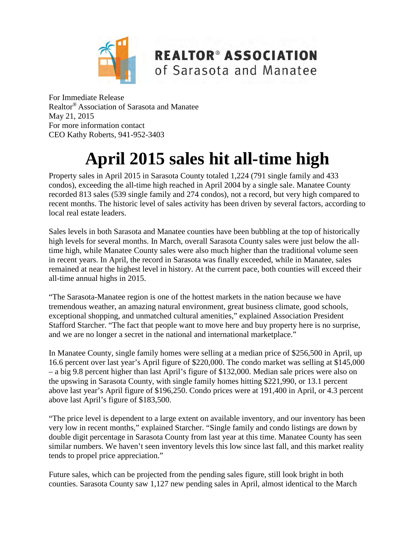

**REALTOR® ASSOCIATION** of Sarasota and Manatee

For Immediate Release Realtor® Association of Sarasota and Manatee May 21, 2015 For more information contact CEO Kathy Roberts, 941-952-3403

# **April 2015 sales hit all-time high**

Property sales in April 2015 in Sarasota County totaled 1,224 (791 single family and 433 condos), exceeding the all-time high reached in April 2004 by a single sale. Manatee County recorded 813 sales (539 single family and 274 condos), not a record, but very high compared to recent months. The historic level of sales activity has been driven by several factors, according to local real estate leaders.

Sales levels in both Sarasota and Manatee counties have been bubbling at the top of historically high levels for several months. In March, overall Sarasota County sales were just below the alltime high, while Manatee County sales were also much higher than the traditional volume seen in recent years. In April, the record in Sarasota was finally exceeded, while in Manatee, sales remained at near the highest level in history. At the current pace, both counties will exceed their all-time annual highs in 2015.

"The Sarasota-Manatee region is one of the hottest markets in the nation because we have tremendous weather, an amazing natural environment, great business climate, good schools, exceptional shopping, and unmatched cultural amenities," explained Association President Stafford Starcher. "The fact that people want to move here and buy property here is no surprise, and we are no longer a secret in the national and international marketplace."

In Manatee County, single family homes were selling at a median price of \$256,500 in April, up 16.6 percent over last year's April figure of \$220,000. The condo market was selling at \$145,000 – a big 9.8 percent higher than last April's figure of \$132,000. Median sale prices were also on the upswing in Sarasota County, with single family homes hitting \$221,990, or 13.1 percent above last year's April figure of \$196,250. Condo prices were at 191,400 in April, or 4.3 percent above last April's figure of \$183,500.

"The price level is dependent to a large extent on available inventory, and our inventory has been very low in recent months," explained Starcher. "Single family and condo listings are down by double digit percentage in Sarasota County from last year at this time. Manatee County has seen similar numbers. We haven't seen inventory levels this low since last fall, and this market reality tends to propel price appreciation."

Future sales, which can be projected from the pending sales figure, still look bright in both counties. Sarasota County saw 1,127 new pending sales in April, almost identical to the March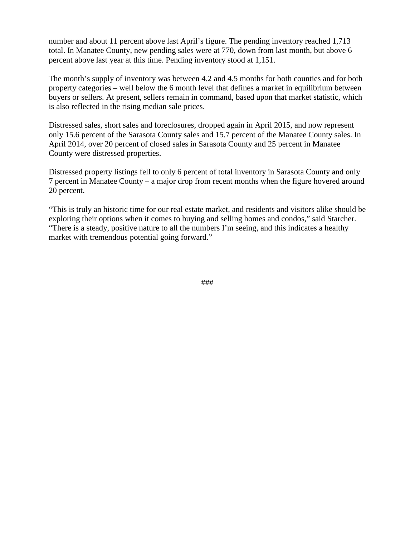number and about 11 percent above last April's figure. The pending inventory reached 1,713 total. In Manatee County, new pending sales were at 770, down from last month, but above 6 percent above last year at this time. Pending inventory stood at 1,151.

The month's supply of inventory was between 4.2 and 4.5 months for both counties and for both property categories – well below the 6 month level that defines a market in equilibrium between buyers or sellers. At present, sellers remain in command, based upon that market statistic, which is also reflected in the rising median sale prices.

Distressed sales, short sales and foreclosures, dropped again in April 2015, and now represent only 15.6 percent of the Sarasota County sales and 15.7 percent of the Manatee County sales. In April 2014, over 20 percent of closed sales in Sarasota County and 25 percent in Manatee County were distressed properties.

Distressed property listings fell to only 6 percent of total inventory in Sarasota County and only 7 percent in Manatee County – a major drop from recent months when the figure hovered around 20 percent.

"This is truly an historic time for our real estate market, and residents and visitors alike should be exploring their options when it comes to buying and selling homes and condos," said Starcher. "There is a steady, positive nature to all the numbers I'm seeing, and this indicates a healthy market with tremendous potential going forward."

###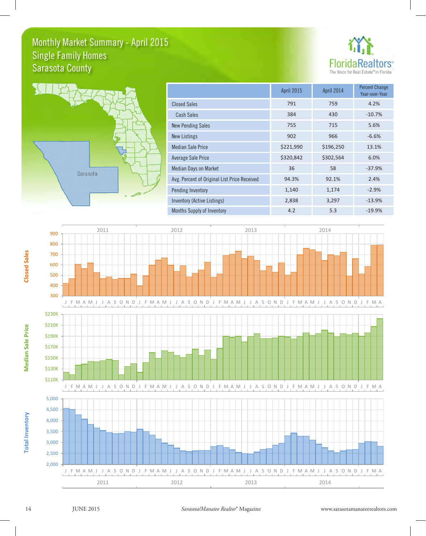# Monthly Market Summary - April 2015 Sarasota County Single Family Homes





|                                              | <b>April 2015</b> | April 2014 | <b>Percent Change</b><br>Year-over-Year |
|----------------------------------------------|-------------------|------------|-----------------------------------------|
| <b>Closed Sales</b>                          | 791               | 759        | 4.2%                                    |
| <b>Cash Sales</b>                            | 384               | 430        | $-10.7%$                                |
| <b>New Pending Sales</b>                     | 755               | 715        | 5.6%                                    |
| New Listings                                 | 902               | 966        | $-6.6%$                                 |
| <b>Median Sale Price</b>                     | \$221,990         | \$196,250  | 13.1%                                   |
| Average Sale Price                           | \$320,842         | \$302,564  | 6.0%                                    |
| <b>Median Days on Market</b>                 | 36                | 58         | $-37.9%$                                |
| Avg. Percent of Original List Price Received | 94.3%             | 92.1%      | 2.4%                                    |
| Pending Inventory                            | 1,140             | 1,174      | $-2.9%$                                 |
| Inventory (Active Listings)                  | 2,838             | 3,297      | $-13.9%$                                |
| Months Supply of Inventory                   | 4.2               | 5.3        | $-19.9%$                                |



**Total Inventory**

**Total Inventory**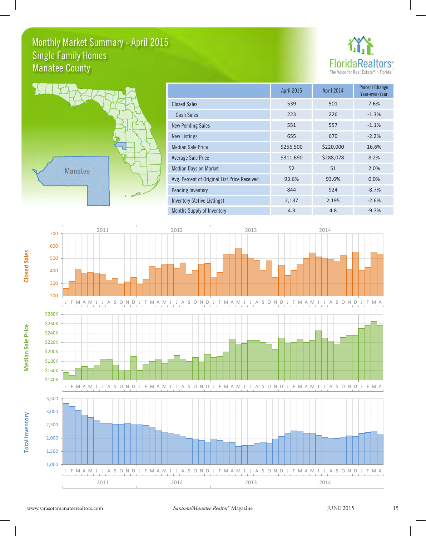# Monthly Market Summary - April 2015 Manatee County Single Family Homes





|                                              | <b>April 2015</b> | April 2014 | <b>Percent Change</b><br>Year-over-Year |
|----------------------------------------------|-------------------|------------|-----------------------------------------|
| <b>Closed Sales</b>                          | 539               | 501        | 7.6%                                    |
| <b>Cash Sales</b>                            | 223               | 226        | $-1.3%$                                 |
| <b>New Pending Sales</b>                     | 551               | 557        | $-1.1%$                                 |
| New Listings                                 | 655               | 670        | $-2.2%$                                 |
| <b>Median Sale Price</b>                     | \$256,500         | \$220,000  | 16.6%                                   |
| Average Sale Price                           | \$311,690         | \$288,078  | 8.2%                                    |
| <b>Median Days on Market</b>                 | 52                | 51         | 2.0%                                    |
| Avg. Percent of Original List Price Received | 93.6%             | 93.6%      | 0.0%                                    |
| Pending Inventory                            | 844               | 924        | $-8.7%$                                 |
| Inventory (Active Listings)                  | 2,137             | 2,195      | $-2.6%$                                 |
| Months Supply of Inventory                   | 4.3               | 4.8        | $-9.7%$                                 |



600 700





2011 2012 2012 2013 2014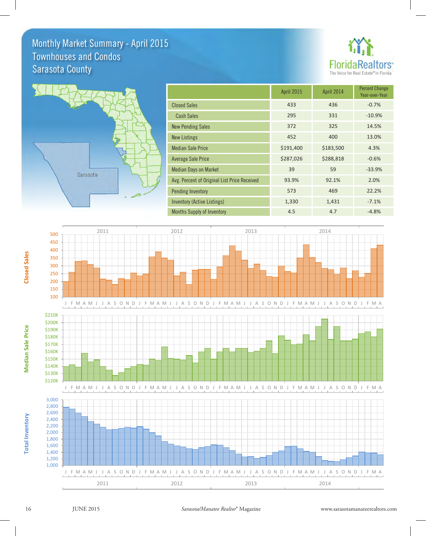# Monthly Market Summary - April 2015 Sarasota County Townhouses and Condos





|                                              | <b>April 2015</b> | April 2014 | <b>Percent Change</b><br>Year-over-Year |
|----------------------------------------------|-------------------|------------|-----------------------------------------|
| <b>Closed Sales</b>                          | 433               | 436        | $-0.7%$                                 |
| <b>Cash Sales</b>                            | 295               | 331        | $-10.9%$                                |
| <b>New Pending Sales</b>                     | 372               | 325        | 14.5%                                   |
| <b>New Listings</b>                          | 452               | 400        | 13.0%                                   |
| <b>Median Sale Price</b>                     | \$191,400         | \$183,500  | 4.3%                                    |
| <b>Average Sale Price</b>                    | \$287,026         | \$288,818  | $-0.6%$                                 |
| <b>Median Days on Market</b>                 | 39                | 59         | $-33.9%$                                |
| Avg. Percent of Original List Price Received | 93.9%             | 92.1%      | 2.0%                                    |
| Pending Inventory                            | 573               | 469        | 22.2%                                   |
| <b>Inventory (Active Listings)</b>           | 1,330             | 1,431      | $-7.1%$                                 |
| <b>Months Supply of Inventory</b>            | 4.5               | 4.7        | $-4.8%$                                 |



450 500



2011 2012 2013 2013 2014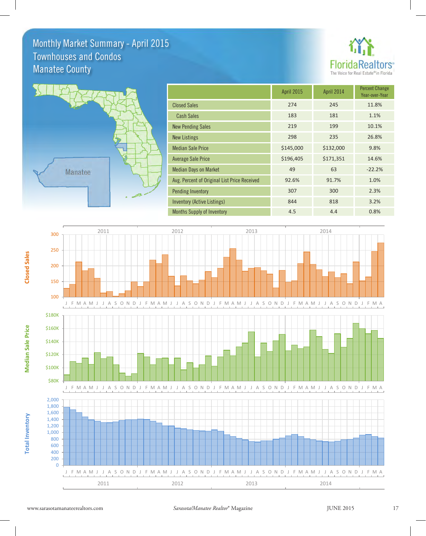# Monthly Market Summary - April 2015 Manatee County Townhouses and Condos





|                                              | <b>April 2015</b> | April 2014 | <b>Percent Change</b><br>Year-over-Year |
|----------------------------------------------|-------------------|------------|-----------------------------------------|
| <b>Closed Sales</b>                          | 274               | 245        | 11.8%                                   |
| <b>Cash Sales</b>                            | 183               | 181        | 1.1%                                    |
| <b>New Pending Sales</b>                     | 219               | 199        | 10.1%                                   |
| <b>New Listings</b>                          | 298               | 235        | 26.8%                                   |
| <b>Median Sale Price</b>                     | \$145,000         | \$132,000  | 9.8%                                    |
| <b>Average Sale Price</b>                    | \$196,405         | \$171,351  | 14.6%                                   |
| <b>Median Days on Market</b>                 | 49                | 63         | $-22.2%$                                |
| Avg. Percent of Original List Price Received | 92.6%             | 91.7%      | 1.0%                                    |
| <b>Pending Inventory</b>                     | 307               | 300        | 2.3%                                    |
| <b>Inventory (Active Listings)</b>           | 844               | 818        | 3.2%                                    |
| <b>Months Supply of Inventory</b>            | 4.5               | 4.4        | 0.8%                                    |

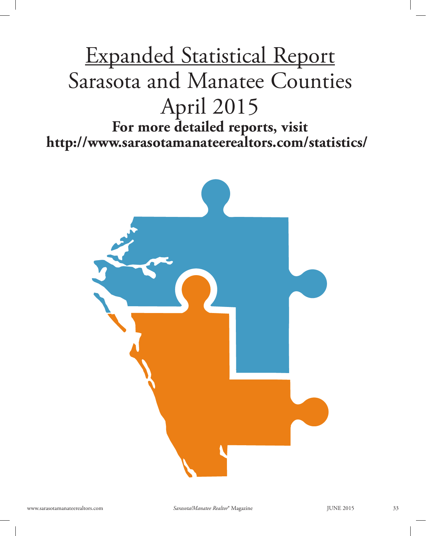# Expanded Statistical Report Sarasota and Manatee Counties April 2015 **For more detailed reports, visit http://www.sarasotamanateerealtors.com/statistics/**

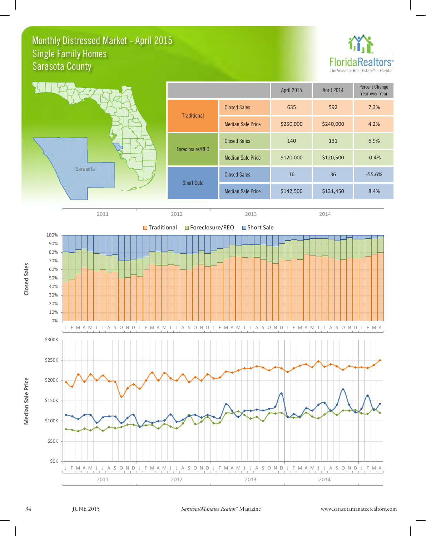## Monthly Distressed Market - April 2015 Sarasota County Single Family Homes









60% 70% 80%

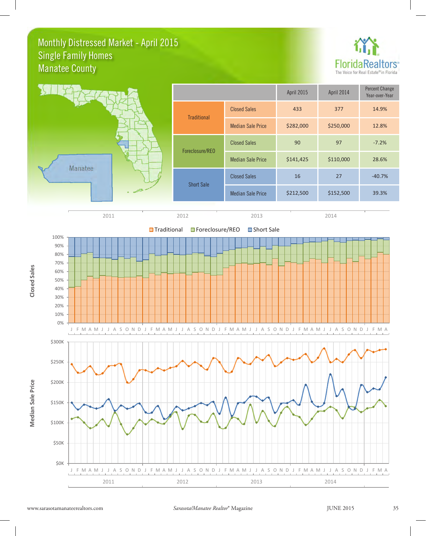# Monthly Distressed Market - April 2015 Manatee County Single Family Homes





|                          | <b>April 2015</b> | April 2014 | <b>Percent Change</b><br>Year-over-Year |
|--------------------------|-------------------|------------|-----------------------------------------|
| <b>Closed Sales</b>      | 433               | 377        | 14.9%                                   |
| <b>Median Sale Price</b> | \$282,000         | \$250,000  | 12.8%                                   |
| <b>Closed Sales</b>      | 90                | 97         | $-7.2%$                                 |
| <b>Median Sale Price</b> | \$141,425         | \$110,000  | 28.6%                                   |
| <b>Closed Sales</b>      | 16                | 27         | $-40.7%$                                |
| <b>Median Sale Price</b> | \$212,500         | \$152,500  | 39.3%                                   |
|                          |                   |            |                                         |



2011 2012 2012 2013 2014 2014



**Closed Sales Closed Sales**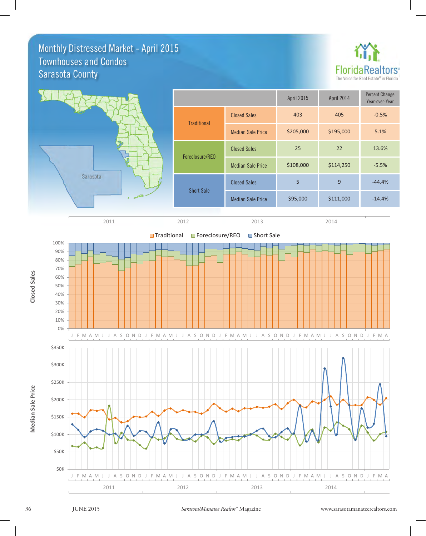### Monthly Distressed Market - April 2015 Sarasota County Townhouses and Condos





2011 2012 2012 2013 2014 2014